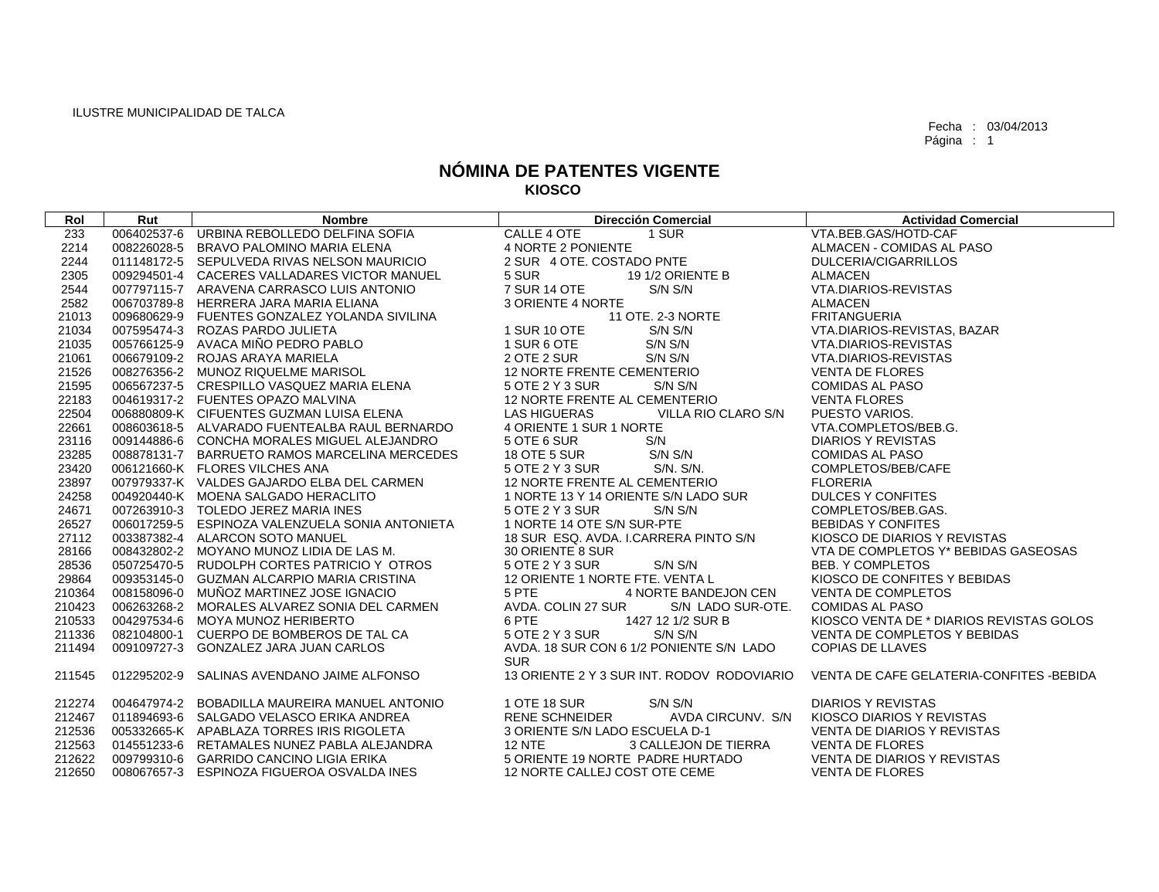Fecha : 03/04/2013 Página : 1

## **NÓMINA DE PATENTES VIGENTE KIOSCO**

| Rol    | Rut | <b>Nombre</b>                                                                                                                                                                              | <b>Dirección Comercial</b>                                                          | <b>Actividad Comercial</b>               |
|--------|-----|--------------------------------------------------------------------------------------------------------------------------------------------------------------------------------------------|-------------------------------------------------------------------------------------|------------------------------------------|
| 233    |     | 006402537-6 URBINA REBOLLEDO DELFINA SOFIA                                                                                                                                                 | CALLE 4 OTE<br>1 SUR                                                                | VTA.BEB.GAS/HOTD-CAF                     |
| 2214   |     | 008226028-5 BRAVO PALOMINO MARIA ELENA                                                                                                                                                     | 4 NORTE 2 PONIENTE                                                                  | ALMACEN - COMIDAS AL PASO                |
| 2244   |     | 011148172-5 SEPULVEDA RIVAS NELSON MAURICIO                                                                                                                                                | 2 SUR 4 OTE. COSTADO PNTE                                                           | DULCERIA/CIGARRILLOS                     |
| 2305   |     | 009294501-4 CACERES VALLADARES VICTOR MANUEL                                                                                                                                               | 5 SUR<br>19 1/2 ORIENTE B                                                           | <b>ALMACEN</b>                           |
| 2544   |     | 007797115-7 ARAVENA CARRASCO LUIS ANTONIO                                                                                                                                                  | 7 SUR 14 OTE<br>S/N S/N                                                             | VTA.DIARIOS-REVISTAS                     |
| 2582   |     | 006703789-8 HERRERA JARA MARIA ELIANA                                                                                                                                                      | 3 ORIENTE 4 NORTE                                                                   | ALMACEN                                  |
| 21013  |     | 009680629-9 FUENTES GONZALEZ YOLANDA SIVILINA                                                                                                                                              | 11 OTE. 2-3 NORTE                                                                   | <b>FRITANGUERIA</b>                      |
| 21034  |     | 007595474-3 ROZAS PARDO JULIETA                                                                                                                                                            | 1 SUR 10 OTE<br>S/N S/N                                                             | VTA.DIARIOS-REVISTAS, BAZAR              |
| 21035  |     | 005766125-9 AVACA MIÑO PEDRO PABLO                                                                                                                                                         | S/N S/N<br>1 SUR 6 OTE                                                              | VTA.DIARIOS-REVISTAS                     |
| 21061  |     | 006679109-2 ROJAS ARAYA MARIELA                                                                                                                                                            | 2 OTE 2 SUR<br>S/N S/N                                                              | VTA.DIARIOS-REVISTAS                     |
| 21526  |     | 008276356-2 MUNOZ RIQUELME MARISOL                                                                                                                                                         | 12 NORTE FRENTE CEMENTERIO                                                          | <b>VENTA DE FLORES</b>                   |
| 21595  |     | 006567237-5 CRESPILLO VASQUEZ MARIA ELENA                                                                                                                                                  | 5 OTE 2 Y 3 SUR<br>S/N S/N                                                          | <b>COMIDAS AL PASO</b>                   |
| 22183  |     | 004619317-2 FUENTES OPAZO MALVINA<br>006880809-K CIFUENTES GUZMAN LUISA ELENA                                                                                                              | 12 NORTE FRENTE AL CEMENTERIO                                                       | <b>VENTA FLORES</b>                      |
| 22504  |     |                                                                                                                                                                                            | <b>LAS HIGUERAS</b><br>VILLA RIO CLARO S/N                                          | PUESTO VARIOS.                           |
| 22661  |     |                                                                                                                                                                                            | 4 ORIENTE 1 SUR 1 NORTE                                                             | VTA.COMPLETOS/BEB.G.                     |
| 23116  |     | 006800609-N. CIFOENTES GOZMAN LOISA LLENA<br>008603618-5 ALVARADO FUENTEALBA RAUL BERNARDO<br>009144886-6 CONCHA MORALES MIGUEL ALEJANDRO<br>008878131-7 BARRUETO RAMOS MARCELINA MERCEDES | 5 OTE 6 SUR<br>S/N                                                                  | DIARIOS Y REVISTAS                       |
| 23285  |     |                                                                                                                                                                                            | S/N S/N<br>18 OTE 5 SUR                                                             | <b>COMIDAS AL PASO</b>                   |
| 23420  |     | 006121660-K FLORES VILCHES ANA                                                                                                                                                             | S/N. S/N.<br>5 OTE 2 Y 3 SUR                                                        | COMPLETOS/BEB/CAFE                       |
| 23897  |     | 007979337-K VALDES GAJARDO ELBA DEL CARMEN                                                                                                                                                 | 12 NORTE FRENTE AL CEMENTERIO                                                       | <b>FLORERIA</b>                          |
| 24258  |     | 004920440-K MOENA SALGADO HERACLITO<br>007263910-3 TOLEDO JEREZ MARIA INES                                                                                                                 | 1 NORTE 13 Y 14 ORIENTE S/N LADO SUR                                                | <b>DULCES Y CONFITES</b>                 |
| 24671  |     |                                                                                                                                                                                            | 5 OTE 2 Y 3 SUR<br>S/N S/N                                                          | COMPLETOS/BEB.GAS.                       |
| 26527  |     | 006017259-5 ESPINOZA VALENZUELA SONIA ANTONIETA                                                                                                                                            | 1 NORTE 14 OTE S/N SUR-PTE                                                          | <b>BEBIDAS Y CONFITES</b>                |
| 27112  |     | 003387382-4 ALARCON SOTO MANUEL                                                                                                                                                            | 18 SUR ESQ. AVDA. I.CARRERA PINTO S/N                                               | KIOSCO DE DIARIOS Y REVISTAS             |
| 28166  |     | 008432802-2 MOYANO MUNOZ LIDIA DE LAS M.                                                                                                                                                   | 30 ORIENTE 8 SUR                                                                    | VTA DE COMPLETOS Y* BEBIDAS GASEOSAS     |
| 28536  |     | 050725470-5 RUDOLPH CORTES PATRICIO Y OTROS                                                                                                                                                | 5 OTE 2 Y 3 SUR<br>S/N S/N                                                          | BEB. Y COMPLETOS                         |
| 29864  |     | 009353145-0 GUZMAN ALCARPIO MARIA CRISTINA                                                                                                                                                 | 12 ORIENTE 1 NORTE FTE, VENTA L                                                     | KIOSCO DE CONFITES Y BEBIDAS             |
| 210364 |     | 008158096-0 MUÑOZ MARTINEZ JOSE IGNACIO                                                                                                                                                    | 5 PTE<br>4 NORTE BANDEJON CEN                                                       | <b>VENTA DE COMPLETOS</b>                |
| 210423 |     | 006263268-2 MORALES ALVAREZ SONIA DEL CARMEN                                                                                                                                               | AVDA. COLIN 27 SUR<br>S/N LADO SUR-OTE.                                             | <b>COMIDAS AL PASO</b>                   |
| 210533 |     | 004297534-6 MOYA MUNOZ HERIBERTO                                                                                                                                                           | 6 PTE<br>1427 12 1/2 SUR B                                                          | KIOSCO VENTA DE * DIARIOS REVISTAS GOLOS |
| 211336 |     | 082104800-1 CUERPO DE BOMBEROS DE TAL CA                                                                                                                                                   | 5 OTE 2 Y 3 SUR<br>S/N S/N                                                          | VENTA DE COMPLETOS Y BEBIDAS             |
| 211494 |     | 009109727-3 GONZALEZ JARA JUAN CARLOS                                                                                                                                                      | AVDA. 18 SUR CON 6 1/2 PONIENTE S/N LADO                                            | <b>COPIAS DE LLAVES</b>                  |
|        |     |                                                                                                                                                                                            | <b>SUR</b>                                                                          |                                          |
| 211545 |     | 012295202-9 SALINAS AVENDANO JAIME ALFONSO                                                                                                                                                 | 13 ORIENTE 2 Y 3 SUR INT. RODOV RODOVIARIO VENTA DE CAFE GELATERIA-CONFITES -BEBIDA |                                          |
| 212274 |     | 004647974-2 BOBADILLA MAUREIRA MANUEL ANTONIO                                                                                                                                              | 1 OTE 18 SUR<br>S/N S/N                                                             | <b>DIARIOS Y REVISTAS</b>                |
| 212467 |     | 011894693-6 SALGADO VELASCO ERIKA ANDREA                                                                                                                                                   | <b>RENE SCHNEIDER</b><br>AVDA CIRCUNV. S/N                                          | KIOSCO DIARIOS Y REVISTAS                |
| 212536 |     | 005332665-K APABLAZA TORRES IRIS RIGOLETA                                                                                                                                                  | 3 ORIENTE S/N LADO ESCUELA D-1                                                      | VENTA DE DIARIOS Y REVISTAS              |
| 212563 |     | 014551233-6 RETAMALES NUNEZ PABLA ALEJANDRA                                                                                                                                                | <b>12 NTE</b><br>3 CALLEJON DE TIERRA                                               | <b>VENTA DE FLORES</b>                   |
| 212622 |     | 009799310-6 GARRIDO CANCINO LIGIA ERIKA                                                                                                                                                    | 5 ORIENTE 19 NORTE PADRE HURTADO                                                    | VENTA DE DIARIOS Y REVISTAS              |
| 212650 |     | 008067657-3 ESPINOZA FIGUEROA OSVALDA INES                                                                                                                                                 | 12 NORTE CALLEJ COST OTE CEME                                                       | <b>VENTA DE FLORES</b>                   |
|        |     |                                                                                                                                                                                            |                                                                                     |                                          |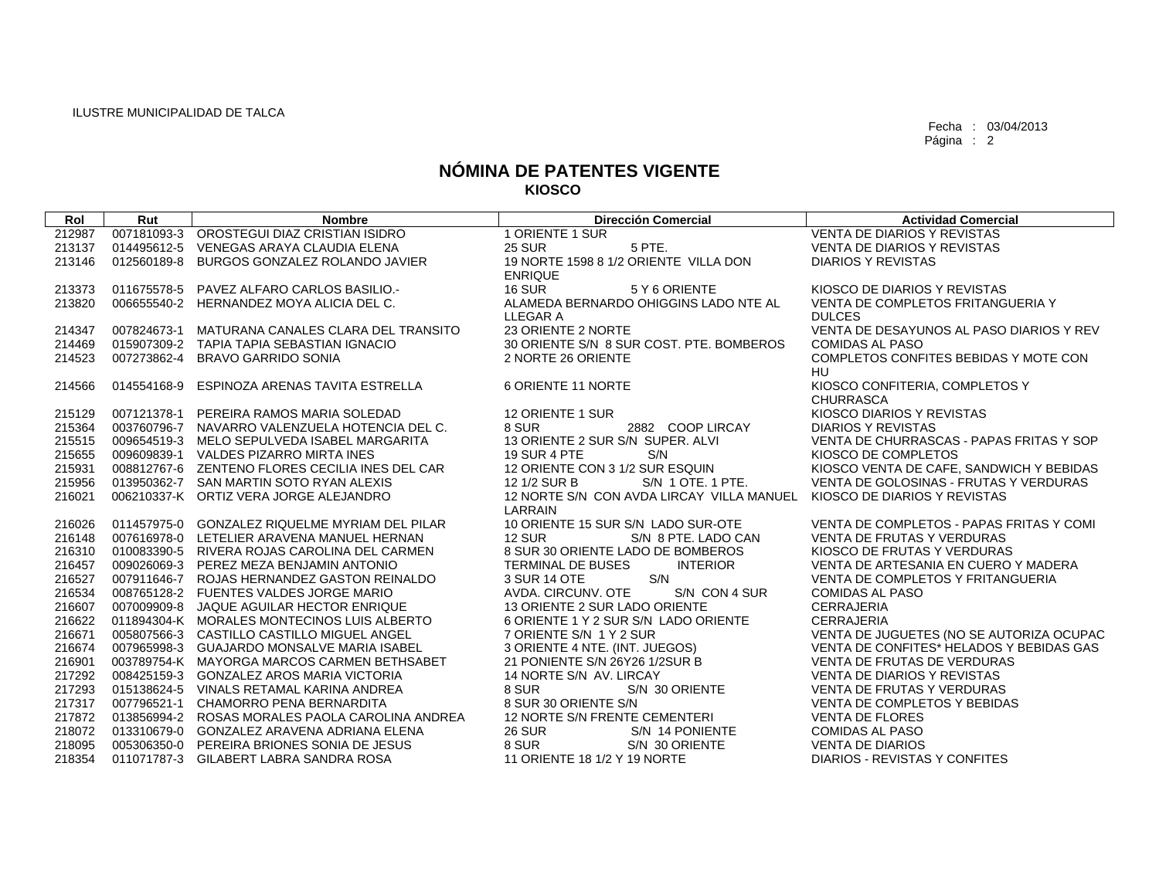$\sqrt{2}$ 

Fecha : 03/04/2013 Página : 2

## **NÓMINA DE PATENTES VIGENTE KIOSCO**

| Rol    | Rut         | <b>Nombre</b>                                   | <b>Dirección Comercial</b>                           | <b>Actividad Comercial</b>               |
|--------|-------------|-------------------------------------------------|------------------------------------------------------|------------------------------------------|
| 212987 | 007181093-3 | OROSTEGUI DIAZ CRISTIAN ISIDRO                  | 1 ORIENTE 1 SUR                                      | <b>VENTA DE DIARIOS Y REVISTAS</b>       |
| 213137 |             | 014495612-5 VENEGAS ARAYA CLAUDIA ELENA         | <b>25 SUR</b><br>5 PTE.                              | VENTA DE DIARIOS Y REVISTAS              |
| 213146 | 012560189-8 | BURGOS GONZALEZ ROLANDO JAVIER                  | 19 NORTE 1598 8 1/2 ORIENTE VILLA DON                | <b>DIARIOS Y REVISTAS</b>                |
|        |             |                                                 | <b>ENRIQUE</b>                                       |                                          |
| 213373 |             | 011675578-5 PAVEZ ALFARO CARLOS BASILIO.        | <b>16 SUR</b><br>5 Y 6 ORIENTE                       | KIOSCO DE DIARIOS Y REVISTAS             |
| 213820 |             | 006655540-2 HERNANDEZ MOYA ALICIA DEL C.        | ALAMEDA BERNARDO OHIGGINS LADO NTE AL                | VENTA DE COMPLETOS FRITANGUERIA Y        |
|        |             |                                                 | LLEGAR A                                             | <b>DULCES</b>                            |
| 214347 | 007824673-1 | MATURANA CANALES CLARA DEL TRANSITO             | 23 ORIENTE 2 NORTE                                   | VENTA DE DESAYUNOS AL PASO DIARIOS Y REV |
| 214469 |             | 015907309-2 TAPIA TAPIA SEBASTIAN IGNACIO       | 30 ORIENTE S/N 8 SUR COST. PTE. BOMBEROS             | COMIDAS AL PASO                          |
| 214523 | 007273862-4 | BRAVO GARRIDO SONIA                             | 2 NORTE 26 ORIENTE                                   | COMPLETOS CONFITES BEBIDAS Y MOTE CON    |
|        |             |                                                 |                                                      | <b>HU</b>                                |
| 214566 | 014554168-9 | ESPINOZA ARENAS TAVITA ESTRELLA                 | 6 ORIENTE 11 NORTE                                   | KIOSCO CONFITERIA, COMPLETOS Y           |
|        |             |                                                 |                                                      | <b>CHURRASCA</b>                         |
| 215129 |             | 007121378-1 PEREIRA RAMOS MARIA SOLEDAD         | 12 ORIENTE 1 SUR                                     | KIOSCO DIARIOS Y REVISTAS                |
| 215364 |             | 003760796-7 NAVARRO VALENZUELA HOTENCIA DEL C.  | 8 SUR<br>2882 COOP LIRCAY                            | <b>DIARIOS Y REVISTAS</b>                |
| 215515 |             | 009654519-3 MELO SEPULVEDA ISABEL MARGARITA     | 13 ORIENTE 2 SUR S/N SUPER. ALVI                     | VENTA DE CHURRASCAS - PAPAS FRITAS Y SOP |
| 215655 |             | 009609839-1 VALDES PIZARRO MIRTA INES           | <b>19 SUR 4 PTE</b><br>S/N                           | KIOSCO DE COMPLETOS                      |
| 215931 |             | 008812767-6 ZENTENO FLORES CECILIA INES DEL CAR | 12 ORIENTE CON 3 1/2 SUR ESQUIN                      | KIOSCO VENTA DE CAFE, SANDWICH Y BEBIDAS |
| 215956 |             | 013950362-7 SAN MARTIN SOTO RYAN ALEXIS         | S/N 1 OTE, 1 PTE.<br>12 1/2 SUR B                    | VENTA DE GOLOSINAS - FRUTAS Y VERDURAS   |
| 216021 |             | 006210337-K ORTIZ VERA JORGE ALEJANDRO          | 12 NORTE S/N CON AVDA LIRCAY VILLA MANUEL<br>LARRAIN | KIOSCO DE DIARIOS Y REVISTAS             |
| 216026 |             | 011457975-0 GONZALEZ RIQUELME MYRIAM DEL PILAR  | 10 ORIENTE 15 SUR S/N LADO SUR-OTE                   | VENTA DE COMPLETOS - PAPAS FRITAS Y COMI |
| 216148 |             | 007616978-0 LETELIER ARAVENA MANUEL HERNAN      | <b>12 SUR</b><br>S/N 8 PTE, LADO CAN                 | <b>VENTA DE FRUTAS Y VERDURAS</b>        |
| 216310 |             | 010083390-5 RIVERA ROJAS CAROLINA DEL CARMEN    | 8 SUR 30 ORIENTE LADO DE BOMBEROS                    | KIOSCO DE FRUTAS Y VERDURAS              |
| 216457 |             | 009026069-3 PEREZ MEZA BENJAMIN ANTONIO         | TERMINAL DE BUSES<br><b>INTERIOR</b>                 | VENTA DE ARTESANIA EN CUERO Y MADERA     |
| 216527 |             | 007911646-7 ROJAS HERNANDEZ GASTON REINALDO     | S/N<br>3 SUR 14 OTE                                  | VENTA DE COMPLETOS Y FRITANGUERIA        |
| 216534 |             | 008765128-2 FUENTES VALDES JORGE MARIO          | AVDA. CIRCUNV. OTE<br>S/N CON 4 SUR                  | <b>COMIDAS AL PASO</b>                   |
| 216607 |             | 007009909-8 JAQUE AGUILAR HECTOR ENRIQUE        | 13 ORIENTE 2 SUR LADO ORIENTE                        | <b>CERRAJERIA</b>                        |
| 216622 |             | 011894304-K MORALES MONTECINOS LUIS ALBERTO     | 6 ORIENTE 1 Y 2 SUR S/N LADO ORIENTE                 | <b>CERRAJERIA</b>                        |
| 216671 |             | 005807566-3 CASTILLO CASTILLO MIGUEL ANGEL      | 7 ORIENTE S/N 1 Y 2 SUR                              | VENTA DE JUGUETES (NO SE AUTORIZA OCUPAC |
| 216674 |             | 007965998-3 GUAJARDO MONSALVE MARIA ISABEL      | 3 ORIENTE 4 NTE. (INT. JUEGOS)                       | VENTA DE CONFITES* HELADOS Y BEBIDAS GAS |
| 216901 |             | 003789754-K MAYORGA MARCOS CARMEN BETHSABET     | 21 PONIENTE S/N 26Y26 1/2SUR B                       | VENTA DE FRUTAS DE VERDURAS              |
| 217292 |             | 008425159-3 GONZALEZ AROS MARIA VICTORIA        | 14 NORTE S/N AV. LIRCAY                              | VENTA DE DIARIOS Y REVISTAS              |
| 217293 |             | 015138624-5 VINALS RETAMAL KARINA ANDREA        | S/N 30 ORIENTE<br>8 SUR                              | VENTA DE FRUTAS Y VERDURAS               |
| 217317 |             | 007796521-1 CHAMORRO PENA BERNARDITA            | 8 SUR 30 ORIENTE S/N                                 | VENTA DE COMPLETOS Y BEBIDAS             |
| 217872 |             | 013856994-2 ROSAS MORALES PAOLA CAROLINA ANDREA | 12 NORTE S/N FRENTE CEMENTERI                        | <b>VENTA DE FLORES</b>                   |
| 218072 |             | 013310679-0 GONZALEZ ARAVENA ADRIANA ELENA      | <b>26 SUR</b><br>S/N 14 PONIENTE                     | <b>COMIDAS AL PASO</b>                   |
| 218095 |             | 005306350-0 PEREIRA BRIONES SONIA DE JESUS      | 8 SUR<br>S/N 30 ORIENTE                              | <b>VENTA DE DIARIOS</b>                  |
| 218354 |             | 011071787-3 GILABERT LABRA SANDRA ROSA          | 11 ORIENTE 18 1/2 Y 19 NORTE                         | DIARIOS - REVISTAS Y CONFITES            |